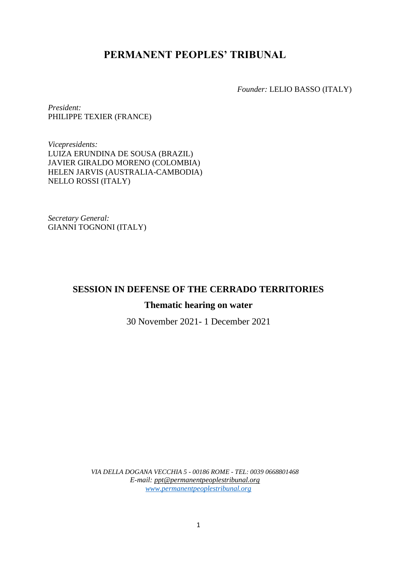# **PERMANENT PEOPLES' TRIBUNAL**

*Founder:* LELIO BASSO (ITALY)

*President:*  PHILIPPE TEXIER (FRANCE)

*Vicepresidents:* LUIZA ERUNDINA DE SOUSA (BRAZIL) JAVIER GIRALDO MORENO (COLOMBIA) HELEN JARVIS (AUSTRALIA-CAMBODIA) NELLO ROSSI (ITALY)

*Secretary General:*  GIANNI TOGNONI (ITALY)

# **SESSION IN DEFENSE OF THE CERRADO TERRITORIES**

# **Thematic hearing on water**

30 November 2021- 1 December 2021

*VIA DELLA DOGANA VECCHIA 5 - 00186 ROME - TEL: 0039 0668801468 E-mail: ppt@permanentpeoplestribunal.org [www.permanentpeoplestribunal.org](http://www.permanentpeoplestribunal.org/)*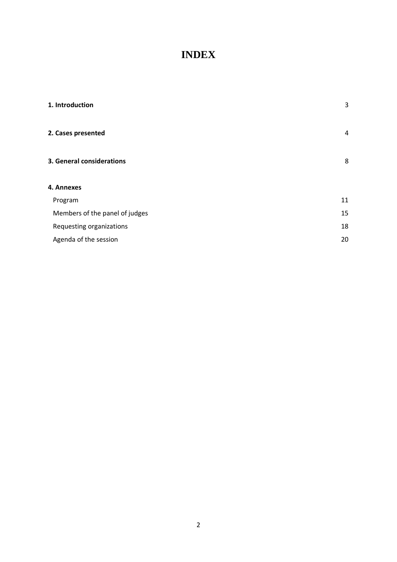# **INDEX**

| 3  |
|----|
| 4  |
| 8  |
|    |
| 11 |
| 15 |
| 18 |
| 20 |
|    |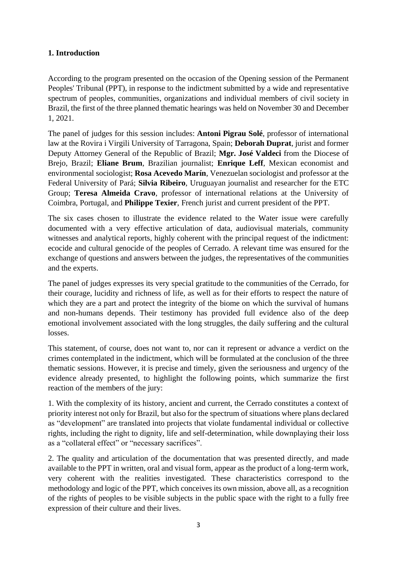# <span id="page-2-0"></span>**1. Introduction**

According to the program presented on the occasion of the Opening session of the Permanent Peoples' Tribunal (PPT), in response to the indictment submitted by a wide and representative spectrum of peoples, communities, organizations and individual members of civil society in Brazil, the first of the three planned thematic hearings was held on November 30 and December 1, 2021.

The panel of judges for this session includes: **Antoni Pigrau Solé**, professor of international law at the Rovira i Virgili University of Tarragona, Spain; **Deborah Duprat**, jurist and former Deputy Attorney General of the Republic of Brazil; **Mgr. José Valdeci** from the Diocese of Brejo, Brazil; **Eliane Brum**, Brazilian journalist; **Enrique Leff**, Mexican economist and environmental sociologist; **Rosa Acevedo Marín**, Venezuelan sociologist and professor at the Federal University of Pará; **Silvia Ribeiro**, Uruguayan journalist and researcher for the ETC Group; **Teresa Almeida Cravo**, professor of international relations at the University of Coimbra, Portugal, and **Philippe Texier**, French jurist and current president of the PPT.

The six cases chosen to illustrate the evidence related to the Water issue were carefully documented with a very effective articulation of data, audiovisual materials, community witnesses and analytical reports, highly coherent with the principal request of the indictment: ecocide and cultural genocide of the peoples of Cerrado. A relevant time was ensured for the exchange of questions and answers between the judges, the representatives of the communities and the experts.

The panel of judges expresses its very special gratitude to the communities of the Cerrado, for their courage, lucidity and richness of life, as well as for their efforts to respect the nature of which they are a part and protect the integrity of the biome on which the survival of humans and non-humans depends. Their testimony has provided full evidence also of the deep emotional involvement associated with the long struggles, the daily suffering and the cultural losses.

This statement, of course, does not want to, nor can it represent or advance a verdict on the crimes contemplated in the indictment, which will be formulated at the conclusion of the three thematic sessions. However, it is precise and timely, given the seriousness and urgency of the evidence already presented, to highlight the following points, which summarize the first reaction of the members of the jury:

1. With the complexity of its history, ancient and current, the Cerrado constitutes a context of priority interest not only for Brazil, but also for the spectrum of situations where plans declared as "development" are translated into projects that violate fundamental individual or collective rights, including the right to dignity, life and self-determination, while downplaying their loss as a "collateral effect" or "necessary sacrifices".

2. The quality and articulation of the documentation that was presented directly, and made available to the PPT in written, oral and visual form, appear as the product of a long-term work, very coherent with the realities investigated. These characteristics correspond to the methodology and logic of the PPT, which conceives its own mission, above all, as a recognition of the rights of peoples to be visible subjects in the public space with the right to a fully free expression of their culture and their lives.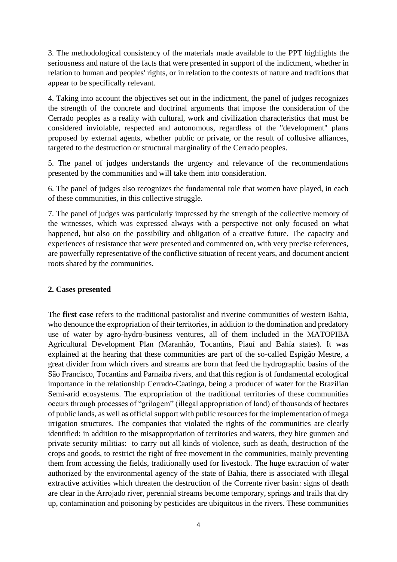3. The methodological consistency of the materials made available to the PPT highlights the seriousness and nature of the facts that were presented in support of the indictment, whether in relation to human and peoples' rights, or in relation to the contexts of nature and traditions that appear to be specifically relevant.

4. Taking into account the objectives set out in the indictment, the panel of judges recognizes the strength of the concrete and doctrinal arguments that impose the consideration of the Cerrado peoples as a reality with cultural, work and civilization characteristics that must be considered inviolable, respected and autonomous, regardless of the "development" plans proposed by external agents, whether public or private, or the result of collusive alliances, targeted to the destruction or structural marginality of the Cerrado peoples.

5. The panel of judges understands the urgency and relevance of the recommendations presented by the communities and will take them into consideration.

6. The panel of judges also recognizes the fundamental role that women have played, in each of these communities, in this collective struggle.

7. The panel of judges was particularly impressed by the strength of the collective memory of the witnesses, which was expressed always with a perspective not only focused on what happened, but also on the possibility and obligation of a creative future. The capacity and experiences of resistance that were presented and commented on, with very precise references, are powerfully representative of the conflictive situation of recent years, and document ancient roots shared by the communities.

## <span id="page-3-0"></span>**2. Cases presented**

The **first case** refers to the traditional pastoralist and riverine communities of western Bahia, who denounce the expropriation of their territories, in addition to the domination and predatory use of water by agro-hydro-business ventures, all of them included in the MATOPIBA Agricultural Development Plan (Maranhão, Tocantins, Piauí and Bahía states). It was explained at the hearing that these communities are part of the so-called Espigão Mestre, a great divider from which rivers and streams are born that feed the hydrographic basins of the São Francisco, Tocantins and Parnaíba rivers, and that this region is of fundamental ecological importance in the relationship Cerrado-Caatinga, being a producer of water for the Brazilian Semi-arid ecosystems. The expropriation of the traditional territories of these communities occurs through processes of "grilagem" (illegal appropriation of land) of thousands of hectares of public lands, as well as official support with public resources for the implementation of mega irrigation structures. The companies that violated the rights of the communities are clearly identified: in addition to the misappropriation of territories and waters, they hire gunmen and private security militias: to carry out all kinds of violence, such as death, destruction of the crops and goods, to restrict the right of free movement in the communities, mainly preventing them from accessing the fields, traditionally used for livestock. The huge extraction of water authorized by the environmental agency of the state of Bahia, there is associated with illegal extractive activities which threaten the destruction of the Corrente river basin: signs of death are clear in the Arrojado river, perennial streams become temporary, springs and trails that dry up, contamination and poisoning by pesticides are ubiquitous in the rivers. These communities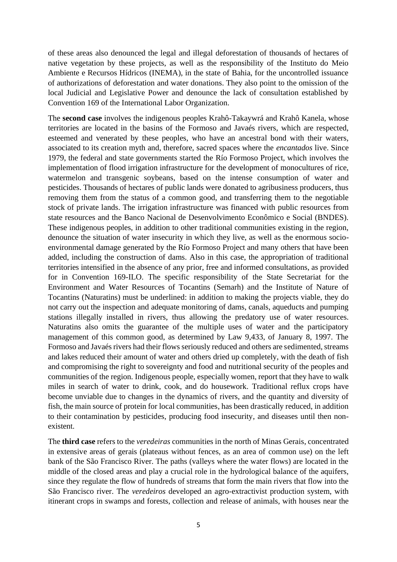of these areas also denounced the legal and illegal deforestation of thousands of hectares of native vegetation by these projects, as well as the responsibility of the Instituto do Meio Ambiente e Recursos Hídricos (INEMA), in the state of Bahia, for the uncontrolled issuance of authorizations of deforestation and water donations. They also point to the omission of the local Judicial and Legislative Power and denounce the lack of consultation established by Convention 169 of the International Labor Organization.

The **second case** involves the indigenous peoples Krahô-Takaywrá and Krahô Kanela, whose territories are located in the basins of the Formoso and Javaés rivers, which are respected, esteemed and venerated by these peoples, who have an ancestral bond with their waters, associated to its creation myth and, therefore, sacred spaces where the *encantados* live. Since 1979, the federal and state governments started the Río Formoso Project, which involves the implementation of flood irrigation infrastructure for the development of monocultures of rice, watermelon and transgenic soybeans, based on the intense consumption of water and pesticides. Thousands of hectares of public lands were donated to agribusiness producers, thus removing them from the status of a common good, and transferring them to the negotiable stock of private lands. The irrigation infrastructure was financed with public resources from state resources and the Banco Nacional de Desenvolvimento Econômico e Social (BNDES). These indigenous peoples, in addition to other traditional communities existing in the region, denounce the situation of water insecurity in which they live, as well as the enormous socioenvironmental damage generated by the Río Formoso Project and many others that have been added, including the construction of dams. Also in this case, the appropriation of traditional territories intensified in the absence of any prior, free and informed consultations, as provided for in Convention 169-ILO. The specific responsibility of the State Secretariat for the Environment and Water Resources of Tocantins (Semarh) and the Institute of Nature of Tocantins (Naturatins) must be underlined: in addition to making the projects viable, they do not carry out the inspection and adequate monitoring of dams, canals, aqueducts and pumping stations illegally installed in rivers, thus allowing the predatory use of water resources. Naturatins also omits the guarantee of the multiple uses of water and the participatory management of this common good, as determined by Law 9,433, of January 8, 1997. The Formoso and Javaés rivers had their flows seriously reduced and others are sedimented, streams and lakes reduced their amount of water and others dried up completely, with the death of fish and compromising the right to sovereignty and food and nutritional security of the peoples and communities of the region. Indigenous people, especially women, report that they have to walk miles in search of water to drink, cook, and do housework. Traditional reflux crops have become unviable due to changes in the dynamics of rivers, and the quantity and diversity of fish, the main source of protein for local communities, has been drastically reduced, in addition to their contamination by pesticides, producing food insecurity, and diseases until then nonexistent.

The **third case** refers to the *veredeiras* communities in the north of Minas Gerais, concentrated in extensive areas of gerais (plateaus without fences, as an area of common use) on the left bank of the São Francisco River. The paths (valleys where the water flows) are located in the middle of the closed areas and play a crucial role in the hydrological balance of the aquifers, since they regulate the flow of hundreds of streams that form the main rivers that flow into the São Francisco river. The *veredeiros* developed an agro-extractivist production system, with itinerant crops in swamps and forests, collection and release of animals, with houses near the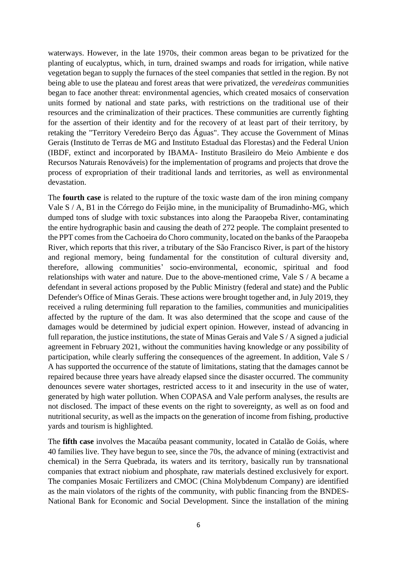waterways. However, in the late 1970s, their common areas began to be privatized for the planting of eucalyptus, which, in turn, drained swamps and roads for irrigation, while native vegetation began to supply the furnaces of the steel companies that settled in the region. By not being able to use the plateau and forest areas that were privatized, the *veredeiras* communities began to face another threat: environmental agencies, which created mosaics of conservation units formed by national and state parks, with restrictions on the traditional use of their resources and the criminalization of their practices. These communities are currently fighting for the assertion of their identity and for the recovery of at least part of their territory, by retaking the "Territory Veredeiro Berço das Águas". They accuse the Government of Minas Gerais (Instituto de Terras de MG and Instituto Estadual das Florestas) and the Federal Union (IBDF, extinct and incorporated by IBAMA- Instituto Brasileiro do Meio Ambiente e dos Recursos Naturais Renováveis) for the implementation of programs and projects that drove the process of expropriation of their traditional lands and territories, as well as environmental devastation.

The **fourth case** is related to the rupture of the toxic waste dam of the iron mining company Vale S / A, B1 in the Córrego do Feijão mine, in the municipality of Brumadinho-MG, which dumped tons of sludge with toxic substances into along the Paraopeba River, contaminating the entire hydrographic basin and causing the death of 272 people. The complaint presented to the PPT comes from the Cachoeira do Choro community, located on the banks of the Paraopeba River, which reports that this river, a tributary of the São Francisco River, is part of the history and regional memory, being fundamental for the constitution of cultural diversity and, therefore, allowing communities' socio-environmental, economic, spiritual and food relationships with water and nature. Due to the above-mentioned crime, Vale S / A became a defendant in several actions proposed by the Public Ministry (federal and state) and the Public Defender's Office of Minas Gerais. These actions were brought together and, in July 2019, they received a ruling determining full reparation to the families, communities and municipalities affected by the rupture of the dam. It was also determined that the scope and cause of the damages would be determined by judicial expert opinion. However, instead of advancing in full reparation, the justice institutions, the state of Minas Gerais and Vale S / A signed a judicial agreement in February 2021, without the communities having knowledge or any possibility of participation, while clearly suffering the consequences of the agreement. In addition, Vale S / A has supported the occurrence of the statute of limitations, stating that the damages cannot be repaired because three years have already elapsed since the disaster occurred. The community denounces severe water shortages, restricted access to it and insecurity in the use of water, generated by high water pollution. When COPASA and Vale perform analyses, the results are not disclosed. The impact of these events on the right to sovereignty, as well as on food and nutritional security, as well as the impacts on the generation of income from fishing, productive yards and tourism is highlighted.

The **fifth case** involves the Macaúba peasant community, located in Catalão de Goiás, where 40 families live. They have begun to see, since the 70s, the advance of mining (extractivist and chemical) in the Serra Quebrada, its waters and its territory, basically run by transnational companies that extract niobium and phosphate, raw materials destined exclusively for export. The companies Mosaic Fertilizers and CMOC (China Molybdenum Company) are identified as the main violators of the rights of the community, with public financing from the BNDES-National Bank for Economic and Social Development. Since the installation of the mining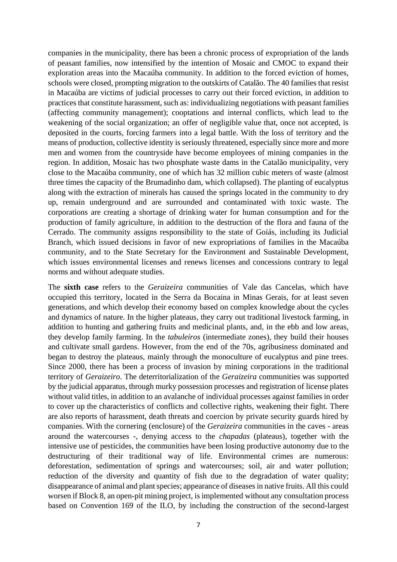companies in the municipality, there has been a chronic process of expropriation of the lands of peasant families, now intensified by the intention of Mosaic and CMOC to expand their exploration areas into the Macaúba community. In addition to the forced eviction of homes, schools were closed, prompting migration to the outskirts of Catalão. The 40 families that resist in Macaúba are victims of judicial processes to carry out their forced eviction, in addition to practices that constitute harassment, such as: individualizing negotiations with peasant families (affecting community management); cooptations and internal conflicts, which lead to the weakening of the social organization; an offer of negligible value that, once not accepted, is deposited in the courts, forcing farmers into a legal battle. With the loss of territory and the means of production, collective identity is seriously threatened, especially since more and more men and women from the countryside have become employees of mining companies in the region. In addition, Mosaic has two phosphate waste dams in the Catalão municipality, very close to the Macaúba community, one of which has 32 million cubic meters of waste (almost three times the capacity of the Brumadinho dam, which collapsed). The planting of eucalyptus along with the extraction of minerals has caused the springs located in the community to dry up, remain underground and are surrounded and contaminated with toxic waste. The corporations are creating a shortage of drinking water for human consumption and for the production of family agriculture, in addition to the destruction of the flora and fauna of the Cerrado. The community assigns responsibility to the state of Goiás, including its Judicial Branch, which issued decisions in favor of new expropriations of families in the Macaúba community, and to the State Secretary for the Environment and Sustainable Development, which issues environmental licenses and renews licenses and concessions contrary to legal norms and without adequate studies.

The **sixth case** refers to the *Geraizeira* communities of Vale das Cancelas, which have occupied this territory, located in the Serra da Bocaina in Minas Gerais, for at least seven generations, and which develop their economy based on complex knowledge about the cycles and dynamics of nature. In the higher plateaus, they carry out traditional livestock farming, in addition to hunting and gathering fruits and medicinal plants, and, in the ebb and low areas, they develop family farming. In the *tabuleiros* (intermediate zones), they build their houses and cultivate small gardens. However, from the end of the 70s, agribusiness dominated and began to destroy the plateaus, mainly through the monoculture of eucalyptus and pine trees. Since 2000, there has been a process of invasion by mining corporations in the traditional territory of *Geraizeiro*. The deterritorialization of the *Geraizeira* communities was supported by the judicial apparatus, through murky possession processes and registration of license plates without valid titles, in addition to an avalanche of individual processes against families in order to cover up the characteristics of conflicts and collective rights, weakening their fight. There are also reports of harassment, death threats and coercion by private security guards hired by companies. With the cornering (enclosure) of the *Geraizeira* communities in the caves - areas around the watercourses -, denying access to the *chapadas* (plateaus), together with the intensive use of pesticides, the communities have been losing productive autonomy due to the destructuring of their traditional way of life. Environmental crimes are numerous: deforestation, sedimentation of springs and watercourses; soil, air and water pollution; reduction of the diversity and quantity of fish due to the degradation of water quality; disappearance of animal and plant species; appearance of diseases in native fruits. All this could worsen if Block 8, an open-pit mining project, is implemented without any consultation process based on Convention 169 of the ILO, by including the construction of the second-largest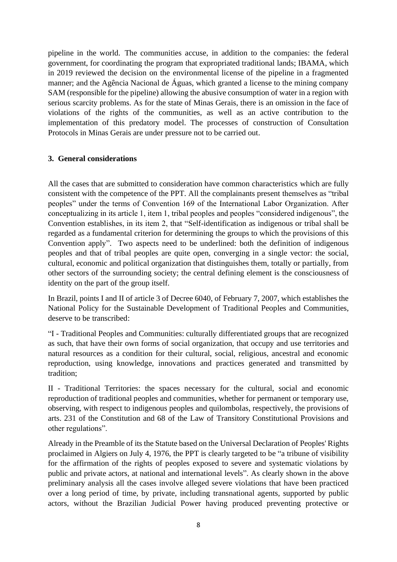pipeline in the world. The communities accuse, in addition to the companies: the federal government, for coordinating the program that expropriated traditional lands; IBAMA, which in 2019 reviewed the decision on the environmental license of the pipeline in a fragmented manner; and the Agência Nacional de Águas, which granted a license to the mining company SAM (responsible for the pipeline) allowing the abusive consumption of water in a region with serious scarcity problems. As for the state of Minas Gerais, there is an omission in the face of violations of the rights of the communities, as well as an active contribution to the implementation of this predatory model. The processes of construction of Consultation Protocols in Minas Gerais are under pressure not to be carried out.

#### <span id="page-7-0"></span>**3. General considerations**

All the cases that are submitted to consideration have common characteristics which are fully consistent with the competence of the PPT. All the complainants present themselves as "tribal peoples" under the terms of Convention 169 of the International Labor Organization. After conceptualizing in its article 1, item 1, tribal peoples and peoples "considered indigenous", the Convention establishes, in its item 2, that "Self-identification as indigenous or tribal shall be regarded as a fundamental criterion for determining the groups to which the provisions of this Convention apply". Two aspects need to be underlined: both the definition of indigenous peoples and that of tribal peoples are quite open, converging in a single vector: the social, cultural, economic and political organization that distinguishes them, totally or partially, from other sectors of the surrounding society; the central defining element is the consciousness of identity on the part of the group itself.

In Brazil, points I and II of article 3 of Decree 6040, of February 7, 2007, which establishes the National Policy for the Sustainable Development of Traditional Peoples and Communities, deserve to be transcribed:

"I - Traditional Peoples and Communities: culturally differentiated groups that are recognized as such, that have their own forms of social organization, that occupy and use territories and natural resources as a condition for their cultural, social, religious, ancestral and economic reproduction, using knowledge, innovations and practices generated and transmitted by tradition;

II - Traditional Territories: the spaces necessary for the cultural, social and economic reproduction of traditional peoples and communities, whether for permanent or temporary use, observing, with respect to indigenous peoples and quilombolas, respectively, the provisions of arts. 231 of the Constitution and 68 of the Law of Transitory Constitutional Provisions and other regulations".

Already in the Preamble of its the Statute based on the Universal Declaration of Peoples' Rights proclaimed in Algiers on July 4, 1976, the PPT is clearly targeted to be "a tribune of visibility for the affirmation of the rights of peoples exposed to severe and systematic violations by public and private actors, at national and international levels". As clearly shown in the above preliminary analysis all the cases involve alleged severe violations that have been practiced over a long period of time, by private, including transnational agents, supported by public actors, without the Brazilian Judicial Power having produced preventing protective or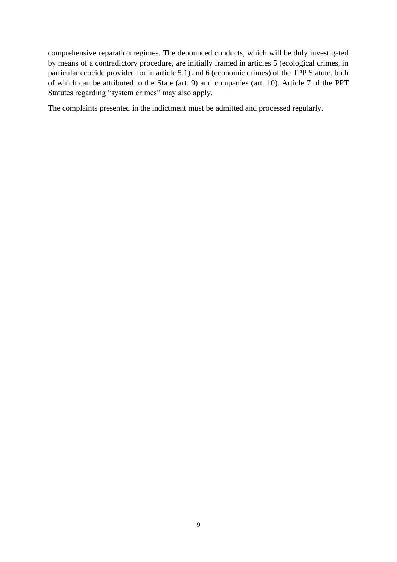comprehensive reparation regimes. The denounced conducts, which will be duly investigated by means of a contradictory procedure, are initially framed in articles 5 (ecological crimes, in particular ecocide provided for in article 5.1) and 6 (economic crimes) of the TPP Statute, both of which can be attributed to the State (art. 9) and companies (art. 10). Article 7 of the PPT Statutes regarding "system crimes" may also apply.

The complaints presented in the indictment must be admitted and processed regularly.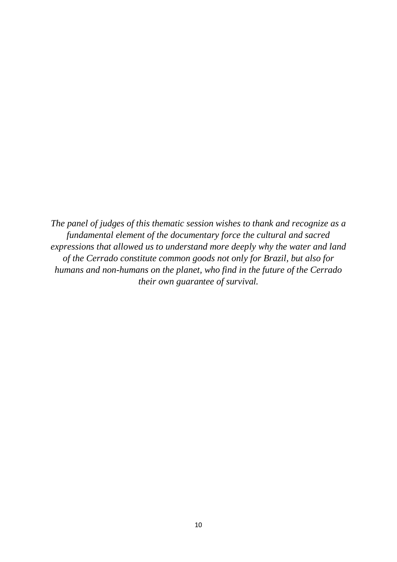*The panel of judges of this thematic session wishes to thank and recognize as a fundamental element of the documentary force the cultural and sacred expressions that allowed us to understand more deeply why the water and land of the Cerrado constitute common goods not only for Brazil, but also for humans and non-humans on the planet, who find in the future of the Cerrado their own guarantee of survival.*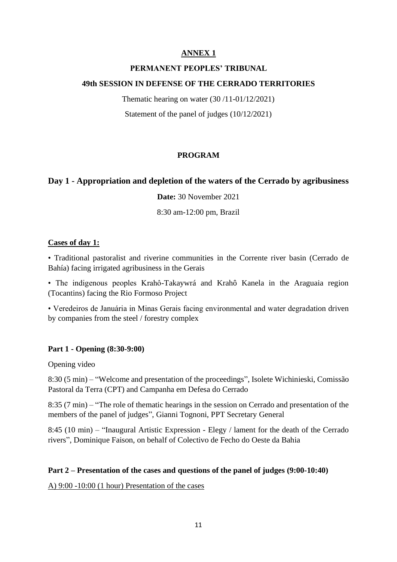#### **PERMANENT PEOPLES' TRIBUNAL**

### **49th SESSION IN DEFENSE OF THE CERRADO TERRITORIES**

Thematic hearing on water (30 /11-01/12/2021) Statement of the panel of judges (10/12/2021)

## **PROGRAM**

## <span id="page-10-0"></span>**Day 1 - Appropriation and depletion of the waters of the Cerrado by agribusiness**

**Date:** 30 November 2021

8:30 am-12:00 pm, Brazil

#### **Cases of day 1:**

• Traditional pastoralist and riverine communities in the Corrente river basin (Cerrado de Bahía) facing irrigated agribusiness in the Gerais

• The indigenous peoples Krahô-Takaywrá and Krahô Kanela in the Araguaia region (Tocantins) facing the Rio Formoso Project

• Veredeiros de Januária in Minas Gerais facing environmental and water degradation driven by companies from the steel / forestry complex

## **Part 1 - Opening (8:30-9:00)**

Opening video

8:30 (5 min) – "Welcome and presentation of the proceedings", Isolete Wichinieski, Comissão Pastoral da Terra (CPT) and Campanha em Defesa do Cerrado

8:35 (7 min) – "The role of thematic hearings in the session on Cerrado and presentation of the members of the panel of judges", Gianni Tognoni, PPT Secretary General

8:45 (10 min) – "Inaugural Artistic Expression - Elegy / lament for the death of the Cerrado rivers", Dominique Faison, on behalf of Colectivo de Fecho do Oeste da Bahia

#### **Part 2 – Presentation of the cases and questions of the panel of judges (9:00-10:40)**

A) 9:00 -10:00 (1 hour) Presentation of the cases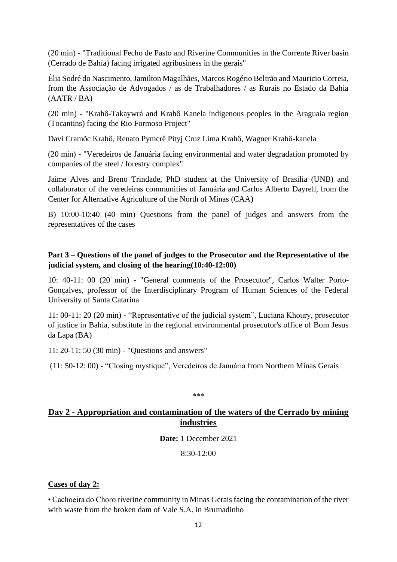(20 min) - "Traditional Fecho de Pasto and Riverine Communities in the Corrente River basin (Cerrado de Bahía) facing irrigated agribusiness in the gerais"

Élia Sodré do Nascimento, Jamilton Magalhães, Marcos Rogério Beltrão and Mauricio Correia, from the Associação de Advogados / as de Trabalhadores / as Rurais no Estado da Bahia  $(AATR / BA)$ 

(20 min) - "Krahô-Takaywrá and Krahô Kanela indigenous peoples in the Araguaia region (Tocantins) facing the Rio Formoso Project"

Davi Cramõc Krahô, Renato Pymcrê Pityj Cruz Lima Krahô, Wagner Krahô-kanela

(20 min) - "Veredeiros de Januária facing environmental and water degradation promoted by companies of the steel / forestry complex"

Jaime Alves and Breno Trindade, PhD student at the University of Brasilia (UNB) and collaborator of the veredeiras communities of Januária and Carlos Alberto Dayrell, from the Center for Alternative Agriculture of the North of Minas (CAA)

B) 10:00-10:40 (40 min) Questions from the panel of judges and answers from the representatives of the cases

# **Part 3 – Questions of the panel of judges to the Prosecutor and the Representative of the judicial system, and closing of the hearing(10:40-12:00)**

10: 40-11: 00 (20 min) - "General comments of the Prosecutor", Carlos Walter Porto-Gonçalves, professor of the Interdisciplinary Program of Human Sciences of the Federal University of Santa Catarina

11: 00-11: 20 (20 min) - "Representative of the judicial system", Luciana Khoury, prosecutor of justice in Bahia, substitute in the regional environmental prosecutor's office of Bom Jesus da Lapa (BA)

11: 20-11: 50 (30 min) - "Questions and answers"

(11: 50-12: 00) - "Closing mystique", Veredeiros de Januária from Northern Minas Gerais

\*\*\*

# **Day 2 - Appropriation and contamination of the waters of the Cerrado by mining industries**

**Date:** 1 December 2021

 $8:30-12:00$ 

## **Cases of day 2:**

• Cachoeira do Choro riverine community in Minas Gerais facing the contamination of the river with waste from the broken dam of Vale S.A. in Brumadinho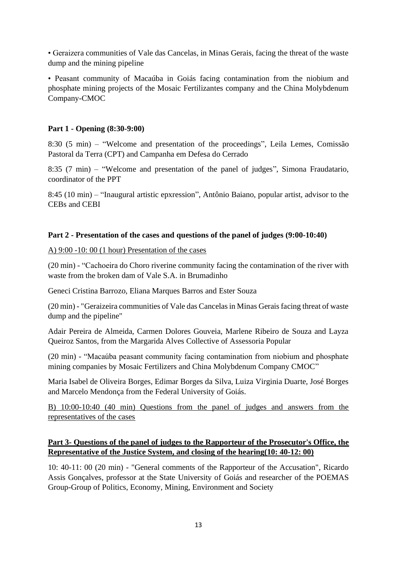• Geraizera communities of Vale das Cancelas, in Minas Gerais, facing the threat of the waste dump and the mining pipeline

• Peasant community of Macaúba in Goiás facing contamination from the niobium and phosphate mining projects of the Mosaic Fertilizantes company and the China Molybdenum Company-CMOC

### **Part 1 - Opening (8:30-9:00)**

8:30 (5 min) – "Welcome and presentation of the proceedings", Leila Lemes, Comissão Pastoral da Terra (CPT) and Campanha em Defesa do Cerrado

8:35 (7 min) – "Welcome and presentation of the panel of judges", Simona Fraudatario, coordinator of the PPT

8:45 (10 min) – "Inaugural artistic epxression", Antônio Baiano, popular artist, advisor to the CEBs and CEBI

#### **Part 2 - Presentation of the cases and questions of the panel of judges (9:00-10:40)**

A) 9:00 -10: 00 (1 hour) Presentation of the cases

(20 min) - "Cachoeira do Choro riverine community facing the contamination of the river with waste from the broken dam of Vale S.A. in Brumadinho

Geneci Cristina Barrozo, Eliana Marques Barros and Ester Souza

(20 min) - "Geraizeira communities of Vale das Cancelas in Minas Gerais facing threat of waste dump and the pipeline"

Adair Pereira de Almeida, Carmen Dolores Gouveia, Marlene Ribeiro de Souza and Layza Queiroz Santos, from the Margarida Alves Collective of Assessoria Popular

(20 min) - "Macaúba peasant community facing contamination from niobium and phosphate mining companies by Mosaic Fertilizers and China Molybdenum Company CMOC"

Maria Isabel de Oliveira Borges, Edimar Borges da Silva, Luiza Virginia Duarte, José Borges and Marcelo Mendonça from the Federal University of Goiás.

B) 10:00-10:40 (40 min) Questions from the panel of judges and answers from the representatives of the cases

# **Part 3- Questions of the panel of judges to the Rapporteur of the Prosecutor's Office, the Representative of the Justice System, and closing of the hearing(10: 40-12: 00)**

10: 40-11: 00 (20 min) - "General comments of the Rapporteur of the Accusation", Ricardo Assis Gonçalves, professor at the State University of Goiás and researcher of the POEMAS Group-Group of Politics, Economy, Mining, Environment and Society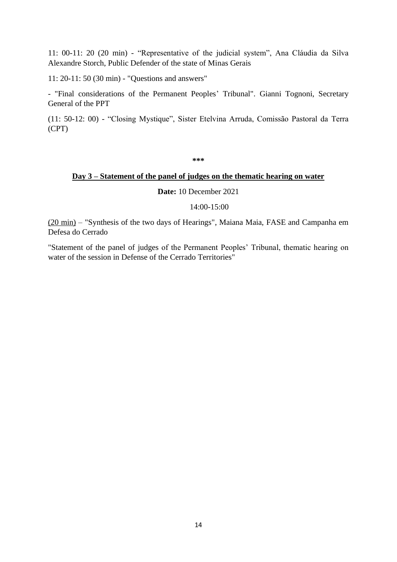11: 00-11: 20 (20 min) - "Representative of the judicial system", Ana Cláudia da Silva Alexandre Storch, Public Defender of the state of Minas Gerais

11: 20-11: 50 (30 min) - "Questions and answers"

- "Final considerations of the Permanent Peoples' Tribunal". Gianni Tognoni, Secretary General of the PPT

(11: 50-12: 00) - "Closing Mystique", Sister Etelvina Arruda, Comissão Pastoral da Terra (CPT)

**\*\*\***

#### **Day 3 – Statement of the panel of judges on the thematic hearing on water**

**Date:** 10 December 2021

14:00-15:00

(20 min) – "Synthesis of the two days of Hearings", Maiana Maia, FASE and Campanha em Defesa do Cerrado

"Statement of the panel of judges of the Permanent Peoples' Tribunal, thematic hearing on water of the session in Defense of the Cerrado Territories"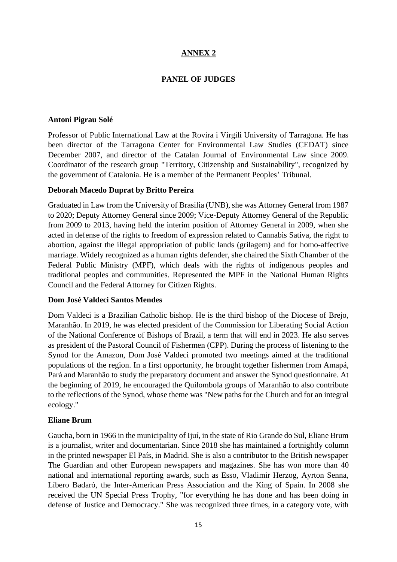# **PANEL OF JUDGES**

#### **Antoni Pigrau Solé**

Professor of Public International Law at the Rovira i Virgili University of Tarragona. He has been director of the Tarragona Center for Environmental Law Studies (CEDAT) since December 2007, and director of the Catalan Journal of Environmental Law since 2009. Coordinator of the research group "Territory, Citizenship and Sustainability", recognized by the government of Catalonia. He is a member of the Permanent Peoples' Tribunal.

#### **Deborah Macedo Duprat by Britto Pereira**

Graduated in Law from the University of Brasilia (UNB), she was Attorney General from 1987 to 2020; Deputy Attorney General since 2009; Vice-Deputy Attorney General of the Republic from 2009 to 2013, having held the interim position of Attorney General in 2009, when she acted in defense of the rights to freedom of expression related to Cannabis Sativa, the right to abortion, against the illegal appropriation of public lands (grilagem) and for homo-affective marriage. Widely recognized as a human rights defender, she chaired the Sixth Chamber of the Federal Public Ministry (MPF), which deals with the rights of indigenous peoples and traditional peoples and communities. Represented the MPF in the National Human Rights Council and the Federal Attorney for Citizen Rights.

#### **Dom José Valdeci Santos Mendes**

Dom Valdeci is a Brazilian Catholic bishop. He is the third bishop of the Diocese of Brejo, Maranhão. In 2019, he was elected president of the Commission for Liberating Social Action of the National Conference of Bishops of Brazil, a term that will end in 2023. He also serves as president of the Pastoral Council of Fishermen (CPP). During the process of listening to the Synod for the Amazon, Dom José Valdeci promoted two meetings aimed at the traditional populations of the region. In a first opportunity, he brought together fishermen from Amapá, Pará and Maranhão to study the preparatory document and answer the Synod questionnaire. At the beginning of 2019, he encouraged the Quilombola groups of Maranhão to also contribute to the reflections of the Synod, whose theme was "New paths for the Church and for an integral ecology."

#### **Eliane Brum**

Gaucha, born in 1966 in the municipality of Ijuí, in the state of Rio Grande do Sul, Eliane Brum is a journalist, writer and documentarian. Since 2018 she has maintained a fortnightly column in the printed newspaper El País, in Madrid. She is also a contributor to the British newspaper The Guardian and other European newspapers and magazines. She has won more than 40 national and international reporting awards, such as Esso, Vladimir Herzog, Ayrton Senna, Líbero Badaró, the Inter-American Press Association and the King of Spain. In 2008 she received the UN Special Press Trophy, "for everything he has done and has been doing in defense of Justice and Democracy." She was recognized three times, in a category vote, with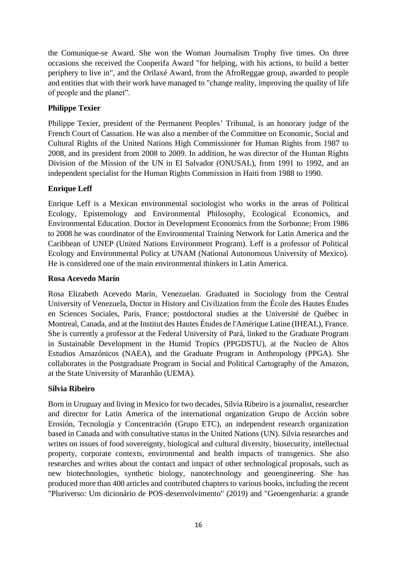the Comunique-se Award. She won the Woman Journalism Trophy five times. On three occasions she received the Cooperifa Award "for helping, with his actions, to build a better periphery to live in", and the Orilaxé Award, from the AfroReggae group, awarded to people and entities that with their work have managed to "change reality, improving the quality of life of people and the planet".

# **Philippe Texier**

Philippe Texier, president of the Permanent Peoples' Tribunal, is an honorary judge of the French Court of Cassation. He was also a member of the Committee on Economic, Social and Cultural Rights of the United Nations High Commissioner for Human Rights from 1987 to 2008, and its president from 2008 to 2009. In addition, he was director of the Human Rights Division of the Mission of the UN in El Salvador (ONUSAL), from 1991 to 1992, and an independent specialist for the Human Rights Commission in Haiti from 1988 to 1990.

# **Enrique Leff**

Enrique Leff is a Mexican environmental sociologist who works in the areas of Political Ecology, Epistemology and Environmental Philosophy, Ecological Economics, and Environmental Education. Doctor in Development Economics from the Sorbonne; From 1986 to 2008 he was coordinator of the Environmental Training Network for Latin America and the Caribbean of UNEP (United Nations Environment Program). Leff is a professor of Political Ecology and Environmental Policy at UNAM (National Autonomous University of Mexico). He is considered one of the main environmental thinkers in Latin America.

## **Rosa Acevedo Marín**

Rosa Elizabeth Acevedo Marín, Venezuelan. Graduated in Sociology from the Central University of Venezuela, Doctor in History and Civilization from the École des Hautes Études en Sciences Sociales, Paris, France; postdoctoral studies at the Université de Québec in Montreal, Canada, and at the Institut des Hautes Études de l'Amérique Latine (IHEAL), France. She is currently a professor at the Federal University of Pará, linked to the Graduate Program in Sustainable Development in the Humid Tropics (PPGDSTU), at the Nucleo de Altos Estudios Amazónicos (NAEA), and the Graduate Program in Anthropology (PPGA). She collaborates in the Postgraduate Program in Social and Political Cartography of the Amazon, at the State University of Maranhão (UEMA).

## **Silvia Ribeiro**

Born in Uruguay and living in Mexico for two decades, Silvia Ribeiro is a journalist, researcher and director for Latin America of the international organization Grupo de Acción sobre Erosión, Tecnología y Concentración (Grupo ETC), an independent research organization based in Canada and with consultative status in the United Nations (UN). Silvia researches and writes on issues of food sovereignty, biological and cultural diversity, biosecurity, intellectual property, corporate contexts, environmental and health impacts of transgenics. She also researches and writes about the contact and impact of other technological proposals, such as new biotechnologies, synthetic biology, nanotechnology and geoengineering. She has produced more than 400 articles and contributed chapters to various books, including the recent "Pluriverso: Um dicionário de POS-desenvolvimento" (2019) and "Geoengenharia: a grande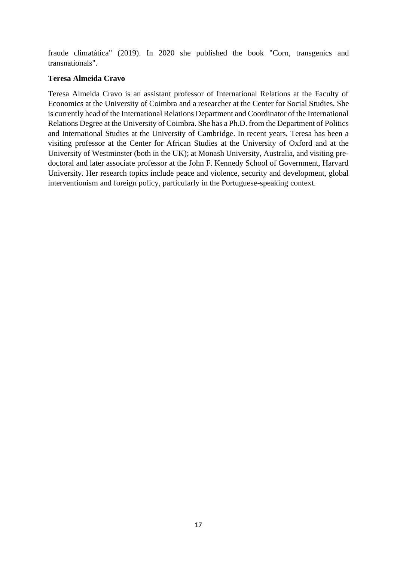fraude climatática" (2019). In 2020 she published the book "Corn, transgenics and transnationals".

## **Teresa Almeida Cravo**

Teresa Almeida Cravo is an assistant professor of International Relations at the Faculty of Economics at the University of Coimbra and a researcher at the Center for Social Studies. She is currently head of the International Relations Department and Coordinator of the International Relations Degree at the University of Coimbra. She has a Ph.D. from the Department of Politics and International Studies at the University of Cambridge. In recent years, Teresa has been a visiting professor at the Center for African Studies at the University of Oxford and at the University of Westminster (both in the UK); at Monash University, Australia, and visiting predoctoral and later associate professor at the John F. Kennedy School of Government, Harvard University. Her research topics include peace and violence, security and development, global interventionism and foreign policy, particularly in the Portuguese-speaking context.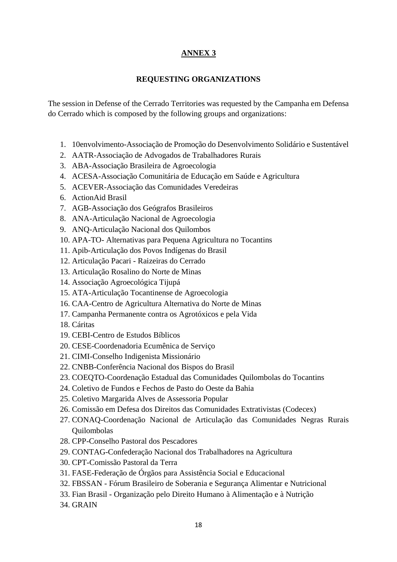### **REQUESTING ORGANIZATIONS**

<span id="page-17-0"></span>The session in Defense of the Cerrado Territories was requested by the Campanha em Defensa do Cerrado which is composed by the following groups and organizations:

- 1. 10envolvimento-Associação de Promoção do Desenvolvimento Solidário e Sustentável
- 2. AATR-Associação de Advogados de Trabalhadores Rurais
- 3. ABA-Associação Brasileira de Agroecologia
- 4. ACESA-Associação Comunitária de Educação em Saúde e Agricultura
- 5. ACEVER-Associação das Comunidades Veredeiras
- 6. ActionAid Brasil
- 7. AGB-Associação dos Geógrafos Brasileiros
- 8. ANA-Articulação Nacional de Agroecologia
- 9. ANQ-Articulação Nacional dos Quilombos
- 10. APA-TO- Alternativas para Pequena Agricultura no Tocantins
- 11. Apib-Articulação dos Povos Indígenas do Brasil
- 12. Articulação Pacari Raizeiras do Cerrado
- 13. Articulação Rosalino do Norte de Minas
- 14. Associação Agroecológica Tijupá
- 15. ATA-Articulação Tocantinense de Agroecologia
- 16. CAA-Centro de Agricultura Alternativa do Norte de Minas
- 17. Campanha Permanente contra os Agrotóxicos e pela Vida
- 18. Cáritas
- 19. CEBI-Centro de Estudos Bíblicos
- 20. CESE-Coordenadoria Ecumênica de Serviço
- 21. CIMI-Conselho Indigenista Missionário
- 22. CNBB-Conferência Nacional dos Bispos do Brasil
- 23. COEQTO-Coordenação Estadual das Comunidades Quilombolas do Tocantins
- 24. Coletivo de Fundos e Fechos de Pasto do Oeste da Bahia
- 25. Coletivo Margarida Alves de Assessoria Popular
- 26. Comissão em Defesa dos Direitos das Comunidades Extrativistas (Codecex)
- 27. CONAQ-Coordenação Nacional de Articulação das Comunidades Negras Rurais Quilombolas
- 28. CPP-Conselho Pastoral dos Pescadores
- 29. CONTAG-Confederação Nacional dos Trabalhadores na Agricultura
- 30. CPT-Comissão Pastoral da Terra
- 31. FASE-Federação de Órgãos para Assistência Social e Educacional
- 32. FBSSAN Fórum Brasileiro de Soberania e Segurança Alimentar e Nutricional
- 33. Fian Brasil Organização pelo Direito Humano à Alimentação e à Nutrição
- 34. GRAIN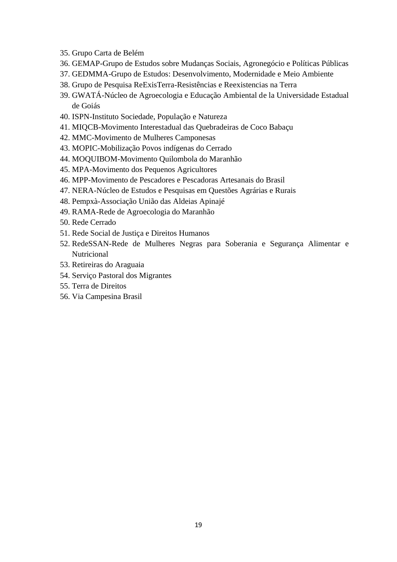- 35. Grupo Carta de Belém
- 36. GEMAP-Grupo de Estudos sobre Mudanças Sociais, Agronegócio e Políticas Públicas
- 37. GEDMMA-Grupo de Estudos: Desenvolvimento, Modernidade e Meio Ambiente
- 38. Grupo de Pesquisa ReExisTerra-Resistências e Reexistencias na Terra
- 39. GWATÁ-Núcleo de Agroecologia e Educação Ambiental de la Universidade Estadual de Goiás
- 40. ISPN-Instituto Sociedade, População e Natureza
- 41. MIQCB-Movimento Interestadual das Quebradeiras de Coco Babaçu
- 42. MMC-Movimento de Mulheres Camponesas
- 43. MOPIC-Mobilização Povos indígenas do Cerrado
- 44. MOQUIBOM-Movimento Quilombola do Maranhão
- 45. MPA-Movimento dos Pequenos Agricultores
- 46. MPP-Movimento de Pescadores e Pescadoras Artesanais do Brasil
- 47. NERA-Núcleo de Estudos e Pesquisas em Questões Agrárias e Rurais
- 48. Pempxà-Associação União das Aldeias Apinajé
- 49. RAMA-Rede de Agroecologia do Maranhão
- 50. Rede Cerrado
- 51. Rede Social de Justiça e Direitos Humanos
- 52. RedeSSAN-Rede de Mulheres Negras para Soberania e Segurança Alimentar e Nutricional
- 53. Retireiras do Araguaia
- 54. Serviço Pastoral dos Migrantes
- 55. Terra de Direitos
- 56. Via Campesina Brasil